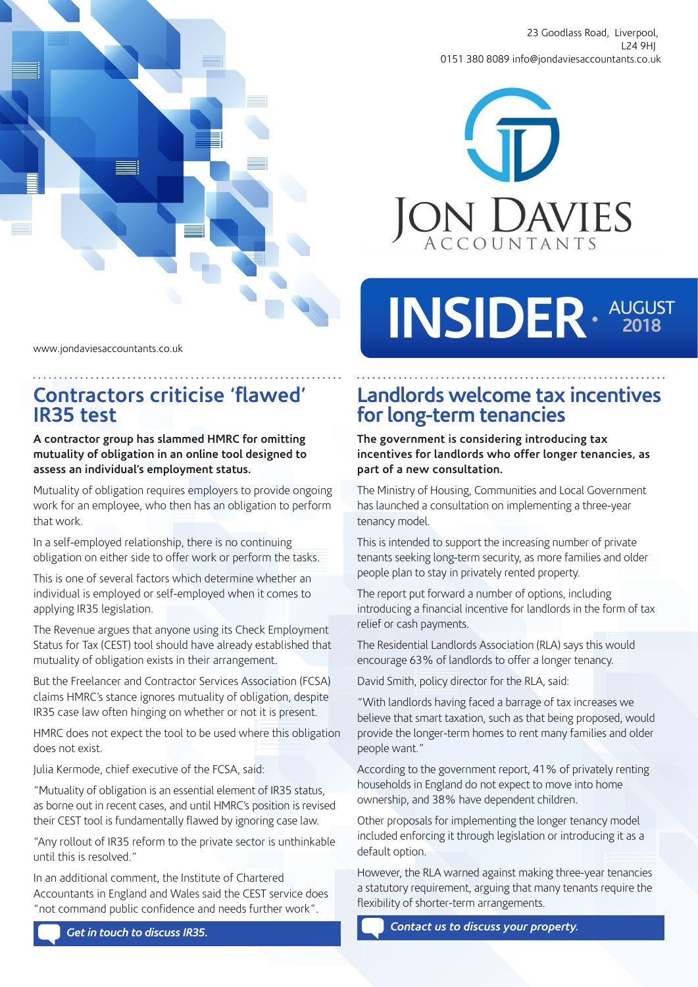

23 Goodlass Road, Liverpool, L24 9HJ 0151 380 8089 info@jondaviesaccountants.co.uk



#### www.jondaviesaccountants.co.uk

## **Contractors criticise 'flawed' IR35 test**

#### **A contractor group has slammed HMRC for omitting mutuality of obligation in an online tool designed to assess an individual's employment status.**

Mutuality of obligation requires employers to provide ongoing work for an employee, who then has an obligation to perform that work.

In a self-employed relationship, there is no continuing obligation on either side to offer work or perform the tasks.

This is one of several factors which determine whether an individual is employed or self-employed when it comes to applying IR35 legislation.

The Revenue argues that anyone using its Check Employment Status for Tax (CEST) tool should have already established that mutuality of obligation exists in their arrangement.

But the Freelancer and Contractor Services Association (FCSA) claims HMRC's stance ignores mutuality of obligation, despite IR35 case law often hinging on whether or not it is present.

HMRC does not expect the tool to be used where this obligation does not exist.

Julia Kermode, chief executive of the FCSA, said:

"Mutuality of obligation is an essential element of IR35 status, as borne out in recent cases, and until HMRC's position is revised their CEST tool is fundamentally flawed by ignoring case law.

"Any rollout of IR35 reform to the private sector is unthinkable until this is resolved."

In an additional comment, the Institute of Chartered Accountants in England and Wales said the CEST service does "not command public confidence and needs further work".

# INSIDER AUGUST

## **Landlords welcome tax incentives for long-term tenancies**

**The government is considering introducing tax incentives for landlords who offer longer tenancies, as part of a new consultation.**

The Ministry of Housing, Communities and Local Government has launched a consultation on implementing a three-year tenancy model.

This is intended to support the increasing number of private tenants seeking long-term security, as more families and older people plan to stay in privately rented property.

The report put forward a number of options, including introducing a financial incentive for landlords in the form of tax relief or cash payments.

The Residential Landlords Association (RLA) says this would encourage 63% of landlords to offer a longer tenancy.

David Smith, policy director for the RLA, said:

"With landlords having faced a barrage of tax increases we believe that smart taxation, such as that being proposed, would provide the longer-term homes to rent many families and older people want."

According to the government report, 41% of privately renting households in England do not expect to move into home ownership, and 38% have dependent children.

Other proposals for implementing the longer tenancy model included enforcing it through legislation or introducing it as a default option.

However, the RLA warned against making three-year tenancies a statutory requirement, arguing that many tenants require the flexibility of shorter-term arrangements.

*Contact us to discuss your property.*

*Get in touch to discuss IR35.*